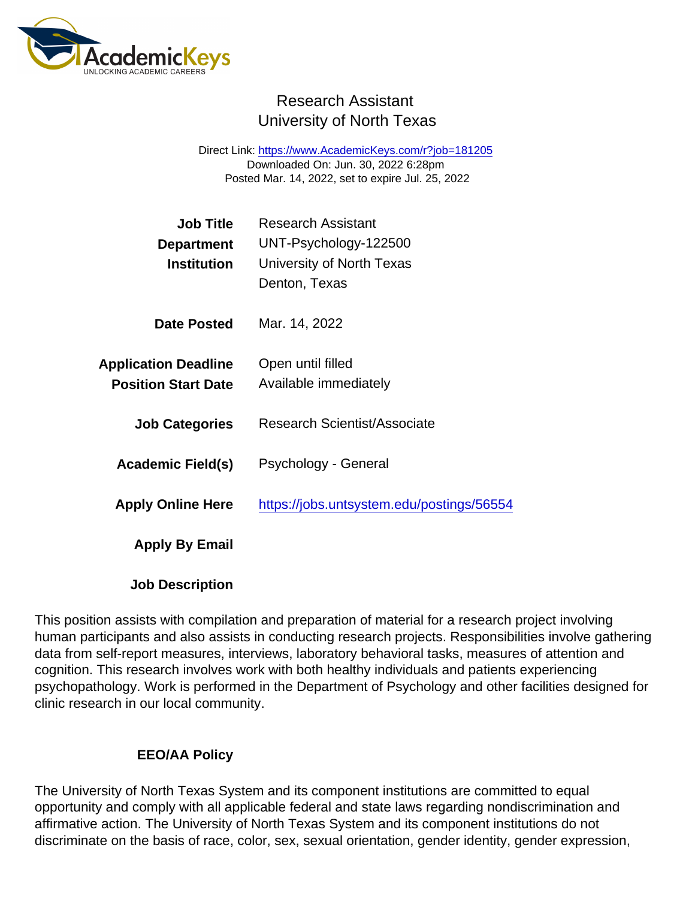## Research Assistant University of North Texas

Direct Link: <https://www.AcademicKeys.com/r?job=181205> Downloaded On: Jun. 30, 2022 6:28pm Posted Mar. 14, 2022, set to expire Jul. 25, 2022

| Job Title                   | <b>Research Assistant</b>                 |
|-----------------------------|-------------------------------------------|
| Department                  | UNT-Psychology-122500                     |
| Institution                 | University of North Texas                 |
|                             | Denton, Texas                             |
| Date Posted                 | Mar. 14, 2022                             |
| <b>Application Deadline</b> | Open until filled                         |
| <b>Position Start Date</b>  | Available immediately                     |
| <b>Job Categories</b>       | Research Scientist/Associate              |
| Academic Field(s)           | Psychology - General                      |
| <b>Apply Online Here</b>    | https://jobs.untsystem.edu/postings/56554 |
| Apply By Email              |                                           |
|                             |                                           |

Job Description

This position assists with compilation and preparation of material for a research project involving human participants and also assists in conducting research projects. Responsibilities involve gathering data from self-report measures, interviews, laboratory behavioral tasks, measures of attention and cognition. This research involves work with both healthy individuals and patients experiencing psychopathology. Work is performed in the Department of Psychology and other facilities designed for clinic research in our local community.

## EEO/AA Policy

The University of North Texas System and its component institutions are committed to equal opportunity and comply with all applicable federal and state laws regarding nondiscrimination and affirmative action. The University of North Texas System and its component institutions do not discriminate on the basis of race, color, sex, sexual orientation, gender identity, gender expression,